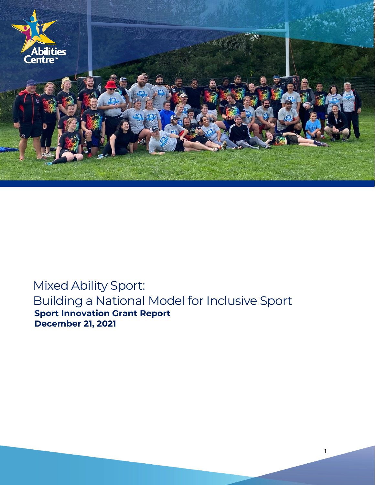

# Mixed Ability Sport: Building a National Model for Inclusive Sport **Sport Innovation Grant Report December 21, 2021**

1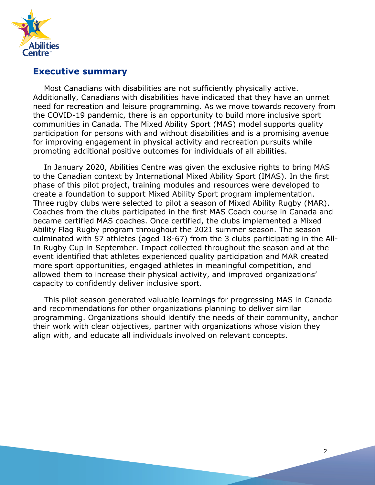

### **Executive summary**

Most Canadians with disabilities are not sufficiently physically active. Additionally, Canadians with disabilities have indicated that they have an unmet need for recreation and leisure programming. As we move towards recovery from the COVID-19 pandemic, there is an opportunity to build more inclusive sport communities in Canada. The Mixed Ability Sport (MAS) model supports quality participation for persons with and without disabilities and is a promising avenue for improving engagement in physical activity and recreation pursuits while promoting additional positive outcomes for individuals of all abilities.

In January 2020, Abilities Centre was given the exclusive rights to bring MAS to the Canadian context by International Mixed Ability Sport (IMAS). In the first phase of this pilot project, training modules and resources were developed to create a foundation to support Mixed Ability Sport program implementation. Three rugby clubs were selected to pilot a season of Mixed Ability Rugby (MAR). Coaches from the clubs participated in the first MAS Coach course in Canada and became certified MAS coaches. Once certified, the clubs implemented a Mixed Ability Flag Rugby program throughout the 2021 summer season. The season culminated with 57 athletes (aged 18-67) from the 3 clubs participating in the All-In Rugby Cup in September. Impact collected throughout the season and at the event identified that athletes experienced quality participation and MAR created more sport opportunities, engaged athletes in meaningful competition, and allowed them to increase their physical activity, and improved organizations' capacity to confidently deliver inclusive sport.

This pilot season generated valuable learnings for progressing MAS in Canada and recommendations for other organizations planning to deliver similar programming. Organizations should identify the needs of their community, anchor their work with clear objectives, partner with organizations whose vision they align with, and educate all individuals involved on relevant concepts.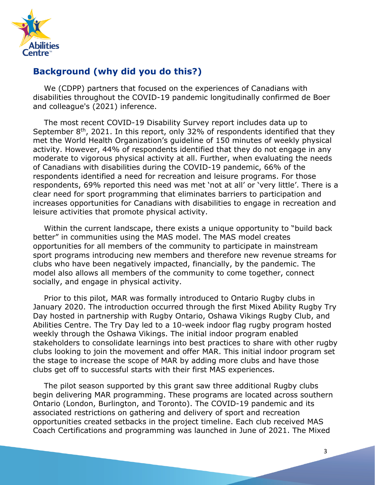

### **Background (why did you do this?)**

We (CDPP) partners that focused on the experiences of Canadians with disabilities throughout the COVID-19 pandemic longitudinally confirmed de Boer and colleague's (2021) inference.

The most recent COVID-19 Disability Survey report includes data up to September  $8<sup>th</sup>$ , 2021. In this report, only 32% of respondents identified that they met the World Health Organization's guideline of 150 minutes of weekly physical activity. However, 44% of respondents identified that they do not engage in any moderate to vigorous physical activity at all. Further, when evaluating the needs of Canadians with disabilities during the COVID-19 pandemic, 66% of the respondents identified a need for recreation and leisure programs. For those respondents, 69% reported this need was met 'not at all' or 'very little'. There is a clear need for sport programming that eliminates barriers to participation and increases opportunities for Canadians with disabilities to engage in recreation and leisure activities that promote physical activity.

Within the current landscape, there exists a unique opportunity to "build back better" in communities using the MAS model. The MAS model creates opportunities for all members of the community to participate in mainstream sport programs introducing new members and therefore new revenue streams for clubs who have been negatively impacted, financially, by the pandemic. The model also allows all members of the community to come together, connect socially, and engage in physical activity.

Prior to this pilot, MAR was formally introduced to Ontario Rugby clubs in January 2020. The introduction occurred through the first Mixed Ability Rugby Try Day hosted in partnership with Rugby Ontario, Oshawa Vikings Rugby Club, and Abilities Centre. The Try Day led to a 10-week indoor flag rugby program hosted weekly through the Oshawa Vikings. The initial indoor program enabled stakeholders to consolidate learnings into best practices to share with other rugby clubs looking to join the movement and offer MAR. This initial indoor program set the stage to increase the scope of MAR by adding more clubs and have those clubs get off to successful starts with their first MAS experiences.

The pilot season supported by this grant saw three additional Rugby clubs begin delivering MAR programming. These programs are located across southern Ontario (London, Burlington, and Toronto). The COVID-19 pandemic and its associated restrictions on gathering and delivery of sport and recreation opportunities created setbacks in the project timeline. Each club received MAS Coach Certifications and programming was launched in June of 2021. The Mixed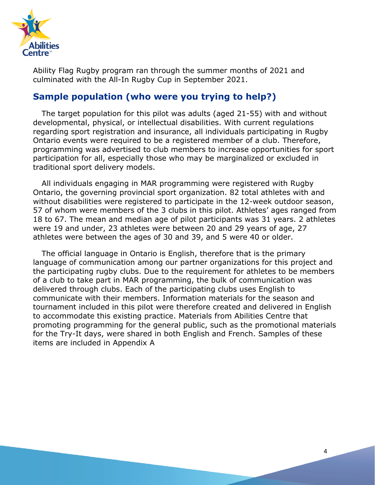

Ability Flag Rugby program ran through the summer months of 2021 and culminated with the All-In Rugby Cup in September 2021.

### **Sample population (who were you trying to help?)**

The target population for this pilot was adults (aged 21-55) with and without developmental, physical, or intellectual disabilities. With current regulations regarding sport registration and insurance, all individuals participating in Rugby Ontario events were required to be a registered member of a club. Therefore, programming was advertised to club members to increase opportunities for sport participation for all, especially those who may be marginalized or excluded in traditional sport delivery models.

All individuals engaging in MAR programming were registered with Rugby Ontario, the governing provincial sport organization. 82 total athletes with and without disabilities were registered to participate in the 12-week outdoor season, 57 of whom were members of the 3 clubs in this pilot. Athletes' ages ranged from 18 to 67. The mean and median age of pilot participants was 31 years. 2 athletes were 19 and under, 23 athletes were between 20 and 29 years of age, 27 athletes were between the ages of 30 and 39, and 5 were 40 or older.

The official language in Ontario is English, therefore that is the primary language of communication among our partner organizations for this project and the participating rugby clubs. Due to the requirement for athletes to be members of a club to take part in MAR programming, the bulk of communication was delivered through clubs. Each of the participating clubs uses English to communicate with their members. Information materials for the season and tournament included in this pilot were therefore created and delivered in English to accommodate this existing practice. Materials from Abilities Centre that promoting programming for the general public, such as the promotional materials for the Try-It days, were shared in both English and French. Samples of these items are included in Appendix A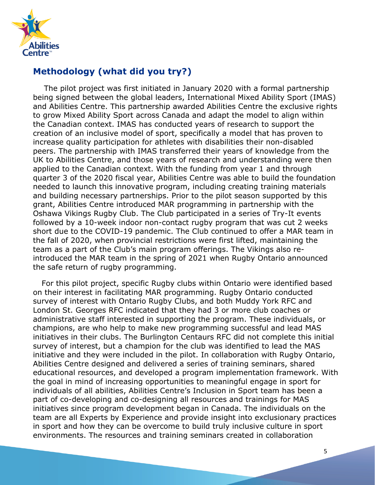

# **Methodology (what did you try?)**

The pilot project was first initiated in January 2020 with a formal partnership being signed between the global leaders, International Mixed Ability Sport (IMAS) and Abilities Centre. This partnership awarded Abilities Centre the exclusive rights to grow Mixed Ability Sport across Canada and adapt the model to align within the Canadian context. IMAS has conducted years of research to support the creation of an inclusive model of sport, specifically a model that has proven to increase quality participation for athletes with disabilities their non-disabled peers. The partnership with IMAS transferred their years of knowledge from the UK to Abilities Centre, and those years of research and understanding were then applied to the Canadian context. With the funding from year 1 and through quarter 3 of the 2020 fiscal year, Abilities Centre was able to build the foundation needed to launch this innovative program, including creating training materials and building necessary partnerships. Prior to the pilot season supported by this grant, Abilities Centre introduced MAR programming in partnership with the Oshawa Vikings Rugby Club. The Club participated in a series of Try-It events followed by a 10-week indoor non-contact rugby program that was cut 2 weeks short due to the COVID-19 pandemic. The Club continued to offer a MAR team in the fall of 2020, when provincial restrictions were first lifted, maintaining the team as a part of the Club's main program offerings. The Vikings also reintroduced the MAR team in the spring of 2021 when Rugby Ontario announced the safe return of rugby programming.

For this pilot project, specific Rugby clubs within Ontario were identified based on their interest in facilitating MAR programming. Rugby Ontario conducted survey of interest with Ontario Rugby Clubs, and both Muddy York RFC and London St. Georges RFC indicated that they had 3 or more club coaches or administrative staff interested in supporting the program. These individuals, or champions, are who help to make new programming successful and lead MAS initiatives in their clubs. The Burlington Centaurs RFC did not complete this initial survey of interest, but a champion for the club was identified to lead the MAS initiative and they were included in the pilot. In collaboration with Rugby Ontario, Abilities Centre designed and delivered a series of training seminars, shared educational resources, and developed a program implementation framework. With the goal in mind of increasing opportunities to meaningful engage in sport for individuals of all abilities, Abilities Centre's Inclusion in Sport team has been a part of co-developing and co-designing all resources and trainings for MAS initiatives since program development began in Canada. The individuals on the team are all Experts by Experience and provide insight into exclusionary practices in sport and how they can be overcome to build truly inclusive culture in sport environments. The resources and training seminars created in collaboration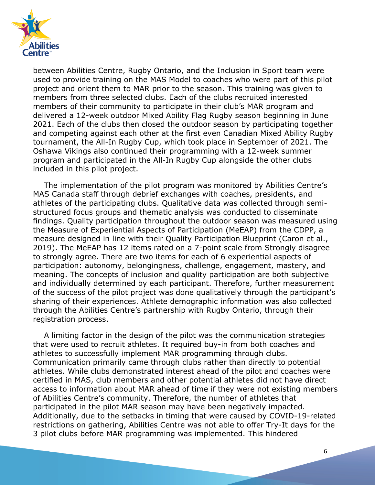

between Abilities Centre, Rugby Ontario, and the Inclusion in Sport team were used to provide training on the MAS Model to coaches who were part of this pilot project and orient them to MAR prior to the season. This training was given to members from three selected clubs. Each of the clubs recruited interested members of their community to participate in their club's MAR program and delivered a 12-week outdoor Mixed Ability Flag Rugby season beginning in June 2021. Each of the clubs then closed the outdoor season by participating together and competing against each other at the first even Canadian Mixed Ability Rugby tournament, the All-In Rugby Cup, which took place in September of 2021. The Oshawa Vikings also continued their programming with a 12-week summer program and participated in the All-In Rugby Cup alongside the other clubs included in this pilot project.

The implementation of the pilot program was monitored by Abilities Centre's MAS Canada staff through debrief exchanges with coaches, presidents, and athletes of the participating clubs. Qualitative data was collected through semistructured focus groups and thematic analysis was conducted to disseminate findings. Quality participation throughout the outdoor season was measured using the Measure of Experiential Aspects of Participation (MeEAP) from the CDPP, a measure designed in line with their Quality Participation Blueprint (Caron et al., 2019). The MeEAP has 12 items rated on a 7-point scale from Strongly disagree to strongly agree. There are two items for each of 6 experiential aspects of participation: autonomy, belongingness, challenge, engagement, mastery, and meaning. The concepts of inclusion and quality participation are both subjective and individually determined by each participant. Therefore, further measurement of the success of the pilot project was done qualitatively through the participant's sharing of their experiences. Athlete demographic information was also collected through the Abilities Centre's partnership with Rugby Ontario, through their registration process.

A limiting factor in the design of the pilot was the communication strategies that were used to recruit athletes. It required buy-in from both coaches and athletes to successfully implement MAR programming through clubs. Communication primarily came through clubs rather than directly to potential athletes. While clubs demonstrated interest ahead of the pilot and coaches were certified in MAS, club members and other potential athletes did not have direct access to information about MAR ahead of time if they were not existing members of Abilities Centre's community. Therefore, the number of athletes that participated in the pilot MAR season may have been negatively impacted. Additionally, due to the setbacks in timing that were caused by COVID-19-related restrictions on gathering, Abilities Centre was not able to offer Try-It days for the 3 pilot clubs before MAR programming was implemented. This hindered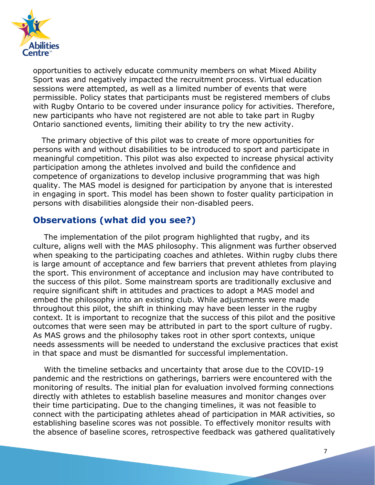

opportunities to actively educate community members on what Mixed Ability Sport was and negatively impacted the recruitment process. Virtual education sessions were attempted, as well as a limited number of events that were permissible. Policy states that participants must be registered members of clubs with Rugby Ontario to be covered under insurance policy for activities. Therefore, new participants who have not registered are not able to take part in Rugby Ontario sanctioned events, limiting their ability to try the new activity.

The primary objective of this pilot was to create of more opportunities for persons with and without disabilities to be introduced to sport and participate in meaningful competition. This pilot was also expected to increase physical activity participation among the athletes involved and build the confidence and competence of organizations to develop inclusive programming that was high quality. The MAS model is designed for participation by anyone that is interested in engaging in sport. This model has been shown to foster quality participation in persons with disabilities alongside their non-disabled peers.

### **Observations (what did you see?)**

The implementation of the pilot program highlighted that rugby, and its culture, aligns well with the MAS philosophy. This alignment was further observed when speaking to the participating coaches and athletes. Within rugby clubs there is large amount of acceptance and few barriers that prevent athletes from playing the sport. This environment of acceptance and inclusion may have contributed to the success of this pilot. Some mainstream sports are traditionally exclusive and require significant shift in attitudes and practices to adopt a MAS model and embed the philosophy into an existing club. While adjustments were made throughout this pilot, the shift in thinking may have been lesser in the rugby context. It is important to recognize that the success of this pilot and the positive outcomes that were seen may be attributed in part to the sport culture of rugby. As MAS grows and the philosophy takes root in other sport contexts, unique needs assessments will be needed to understand the exclusive practices that exist in that space and must be dismantled for successful implementation.

With the timeline setbacks and uncertainty that arose due to the COVID-19 pandemic and the restrictions on gatherings, barriers were encountered with the monitoring of results. The initial plan for evaluation involved forming connections directly with athletes to establish baseline measures and monitor changes over their time participating. Due to the changing timelines, it was not feasible to connect with the participating athletes ahead of participation in MAR activities, so establishing baseline scores was not possible. To effectively monitor results with the absence of baseline scores, retrospective feedback was gathered qualitatively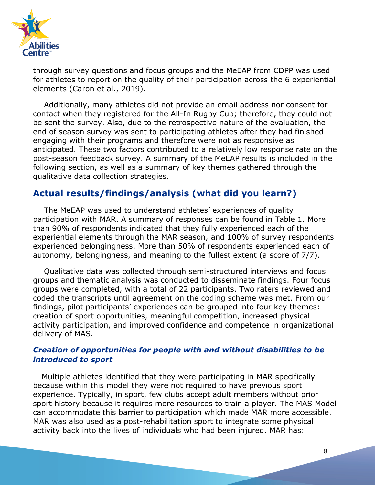

through survey questions and focus groups and the MeEAP from CDPP was used for athletes to report on the quality of their participation across the 6 experiential elements (Caron et al., 2019).

Additionally, many athletes did not provide an email address nor consent for contact when they registered for the All-In Rugby Cup; therefore, they could not be sent the survey. Also, due to the retrospective nature of the evaluation, the end of season survey was sent to participating athletes after they had finished engaging with their programs and therefore were not as responsive as anticipated. These two factors contributed to a relatively low response rate on the post-season feedback survey. A summary of the MeEAP results is included in the following section, as well as a summary of key themes gathered through the qualitative data collection strategies.

### **Actual results/findings/analysis (what did you learn?)**

The MeEAP was used to understand athletes' experiences of quality participation with MAR. A summary of responses can be found in Table 1. More than 90% of respondents indicated that they fully experienced each of the experiential elements through the MAR season, and 100% of survey respondents experienced belongingness. More than 50% of respondents experienced each of autonomy, belongingness, and meaning to the fullest extent (a score of 7/7).

Qualitative data was collected through semi-structured interviews and focus groups and thematic analysis was conducted to disseminate findings. Four focus groups were completed, with a total of 22 participants. Two raters reviewed and coded the transcripts until agreement on the coding scheme was met. From our findings, pilot participants' experiences can be grouped into four key themes: creation of sport opportunities, meaningful competition, increased physical activity participation, and improved confidence and competence in organizational delivery of MAS.

#### *Creation of opportunities for people with and without disabilities to be introduced to sport*

Multiple athletes identified that they were participating in MAR specifically because within this model they were not required to have previous sport experience. Typically, in sport, few clubs accept adult members without prior sport history because it requires more resources to train a player. The MAS Model can accommodate this barrier to participation which made MAR more accessible. MAR was also used as a post-rehabilitation sport to integrate some physical activity back into the lives of individuals who had been injured. MAR has: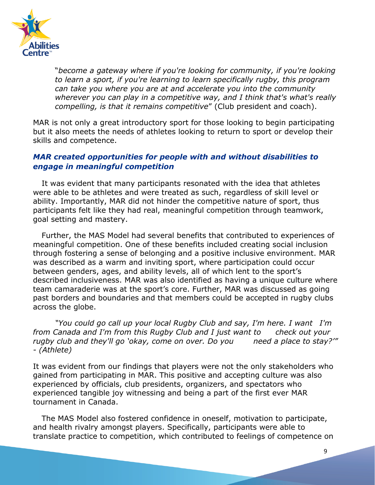

"*become a gateway where if you're looking for community, if you're looking to learn a sport, if you're learning to learn specifically rugby, this program can take you where you are at and accelerate you into the community wherever you can play in a competitive way, and I think that's what's really compelling, is that it remains competitive*" (Club president and coach).

MAR is not only a great introductory sport for those looking to begin participating but it also meets the needs of athletes looking to return to sport or develop their skills and competence.

#### *MAR created opportunities for people with and without disabilities to engage in meaningful competition*

It was evident that many participants resonated with the idea that athletes were able to be athletes and were treated as such, regardless of skill level or ability. Importantly, MAR did not hinder the competitive nature of sport, thus participants felt like they had real, meaningful competition through teamwork, goal setting and mastery.

Further, the MAS Model had several benefits that contributed to experiences of meaningful competition. One of these benefits included creating social inclusion through fostering a sense of belonging and a positive inclusive environment. MAR was described as a warm and inviting sport, where participation could occur between genders, ages, and ability levels, all of which lent to the sport's described inclusiveness. MAR was also identified as having a unique culture where team camaraderie was at the sport's core. Further, MAR was discussed as going past borders and boundaries and that members could be accepted in rugby clubs across the globe.

*"You could go call up your local Rugby Club and say, I'm here. I want I'm from Canada and I'm from this Rugby Club and I just want to check out your rugby club and they'll go 'okay, come on over. Do you need a place to stay?'" - (Athlete)*

It was evident from our findings that players were not the only stakeholders who gained from participating in MAR. This positive and accepting culture was also experienced by officials, club presidents, organizers, and spectators who experienced tangible joy witnessing and being a part of the first ever MAR tournament in Canada.

The MAS Model also fostered confidence in oneself, motivation to participate, and health rivalry amongst players. Specifically, participants were able to translate practice to competition, which contributed to feelings of competence on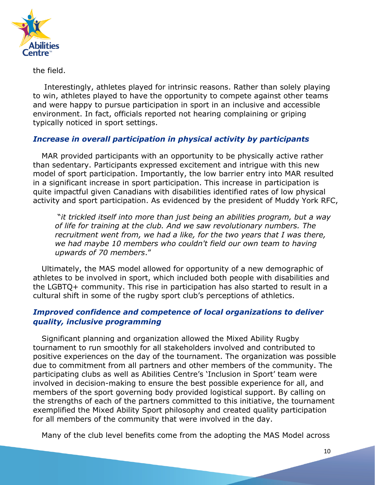

the field.

Interestingly, athletes played for intrinsic reasons. Rather than solely playing to win, athletes played to have the opportunity to compete against other teams and were happy to pursue participation in sport in an inclusive and accessible environment. In fact, officials reported not hearing complaining or griping typically noticed in sport settings.

### *Increase in overall participation in physical activity by participants*

MAR provided participants with an opportunity to be physically active rather than sedentary. Participants expressed excitement and intrigue with this new model of sport participation. Importantly, the low barrier entry into MAR resulted in a significant increase in sport participation. This increase in participation is quite impactful given Canadians with disabilities identified rates of low physical activity and sport participation. As evidenced by the president of Muddy York RFC,

"*it trickled itself into more than just being an abilities program, but a way of life for training at the club. And we saw revolutionary numbers. The recruitment went from, we had a like, for the two years that I was there, we had maybe 10 members who couldn't field our own team to having upwards of 70 members*."

Ultimately, the MAS model allowed for opportunity of a new demographic of athletes to be involved in sport, which included both people with disabilities and the LGBTQ+ community. This rise in participation has also started to result in a cultural shift in some of the rugby sport club's perceptions of athletics.

#### *Improved confidence and competence of local organizations to deliver quality, inclusive programming*

Significant planning and organization allowed the Mixed Ability Rugby tournament to run smoothly for all stakeholders involved and contributed to positive experiences on the day of the tournament. The organization was possible due to commitment from all partners and other members of the community. The participating clubs as well as Abilities Centre's 'Inclusion in Sport' team were involved in decision-making to ensure the best possible experience for all, and members of the sport governing body provided logistical support. By calling on the strengths of each of the partners committed to this initiative, the tournament exemplified the Mixed Ability Sport philosophy and created quality participation for all members of the community that were involved in the day.

Many of the club level benefits come from the adopting the MAS Model across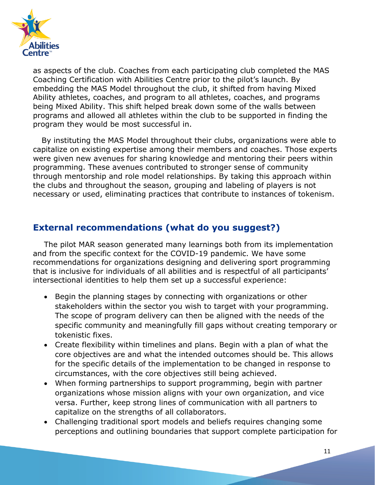

as aspects of the club. Coaches from each participating club completed the MAS Coaching Certification with Abilities Centre prior to the pilot's launch. By embedding the MAS Model throughout the club, it shifted from having Mixed Ability athletes, coaches, and program to all athletes, coaches, and programs being Mixed Ability. This shift helped break down some of the walls between programs and allowed all athletes within the club to be supported in finding the program they would be most successful in.

By instituting the MAS Model throughout their clubs, organizations were able to capitalize on existing expertise among their members and coaches. Those experts were given new avenues for sharing knowledge and mentoring their peers within programming. These avenues contributed to stronger sense of community through mentorship and role model relationships. By taking this approach within the clubs and throughout the season, grouping and labeling of players is not necessary or used, eliminating practices that contribute to instances of tokenism.

### **External recommendations (what do you suggest?)**

The pilot MAR season generated many learnings both from its implementation and from the specific context for the COVID-19 pandemic. We have some recommendations for organizations designing and delivering sport programming that is inclusive for individuals of all abilities and is respectful of all participants' intersectional identities to help them set up a successful experience:

- Begin the planning stages by connecting with organizations or other stakeholders within the sector you wish to target with your programming. The scope of program delivery can then be aligned with the needs of the specific community and meaningfully fill gaps without creating temporary or tokenistic fixes.
- Create flexibility within timelines and plans. Begin with a plan of what the core objectives are and what the intended outcomes should be. This allows for the specific details of the implementation to be changed in response to circumstances, with the core objectives still being achieved.
- When forming partnerships to support programming, begin with partner organizations whose mission aligns with your own organization, and vice versa. Further, keep strong lines of communication with all partners to capitalize on the strengths of all collaborators.
- Challenging traditional sport models and beliefs requires changing some perceptions and outlining boundaries that support complete participation for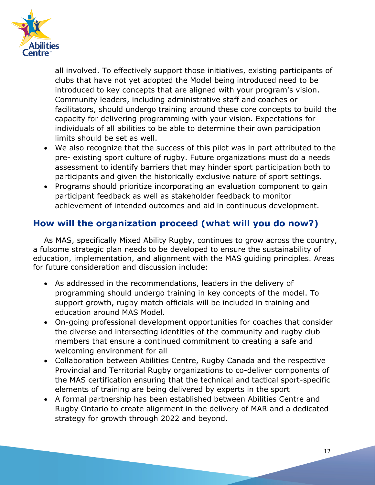

all involved. To effectively support those initiatives, existing participants of clubs that have not yet adopted the Model being introduced need to be introduced to key concepts that are aligned with your program's vision. Community leaders, including administrative staff and coaches or facilitators, should undergo training around these core concepts to build the capacity for delivering programming with your vision. Expectations for individuals of all abilities to be able to determine their own participation limits should be set as well.

- We also recognize that the success of this pilot was in part attributed to the pre- existing sport culture of rugby. Future organizations must do a needs assessment to identify barriers that may hinder sport participation both to participants and given the historically exclusive nature of sport settings.
- Programs should prioritize incorporating an evaluation component to gain participant feedback as well as stakeholder feedback to monitor achievement of intended outcomes and aid in continuous development.

# **How will the organization proceed (what will you do now?)**

As MAS, specifically Mixed Ability Rugby, continues to grow across the country, a fulsome strategic plan needs to be developed to ensure the sustainability of education, implementation, and alignment with the MAS guiding principles. Areas for future consideration and discussion include:

- As addressed in the recommendations, leaders in the delivery of programming should undergo training in key concepts of the model. To support growth, rugby match officials will be included in training and education around MAS Model.
- On-going professional development opportunities for coaches that consider the diverse and intersecting identities of the community and rugby club members that ensure a continued commitment to creating a safe and welcoming environment for all
- Collaboration between Abilities Centre, Rugby Canada and the respective Provincial and Territorial Rugby organizations to co-deliver components of the MAS certification ensuring that the technical and tactical sport-specific elements of training are being delivered by experts in the sport
- A formal partnership has been established between Abilities Centre and Rugby Ontario to create alignment in the delivery of MAR and a dedicated strategy for growth through 2022 and beyond.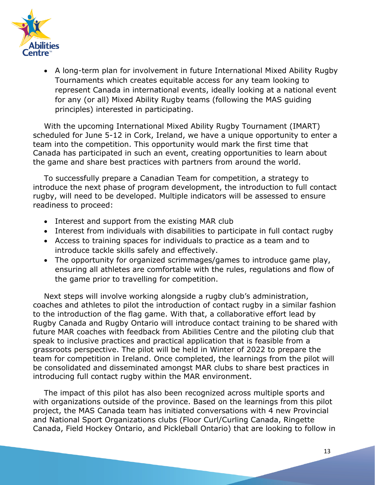

• A long-term plan for involvement in future International Mixed Ability Rugby Tournaments which creates equitable access for any team looking to represent Canada in international events, ideally looking at a national event for any (or all) Mixed Ability Rugby teams (following the MAS guiding principles) interested in participating.

With the upcoming International Mixed Ability Rugby Tournament (IMART) scheduled for June 5-12 in Cork, Ireland, we have a unique opportunity to enter a team into the competition. This opportunity would mark the first time that Canada has participated in such an event, creating opportunities to learn about the game and share best practices with partners from around the world.

To successfully prepare a Canadian Team for competition, a strategy to introduce the next phase of program development, the introduction to full contact rugby, will need to be developed. Multiple indicators will be assessed to ensure readiness to proceed:

- Interest and support from the existing MAR club
- Interest from individuals with disabilities to participate in full contact rugby
- Access to training spaces for individuals to practice as a team and to introduce tackle skills safely and effectively.
- The opportunity for organized scrimmages/games to introduce game play, ensuring all athletes are comfortable with the rules, regulations and flow of the game prior to travelling for competition.

Next steps will involve working alongside a rugby club's administration, coaches and athletes to pilot the introduction of contact rugby in a similar fashion to the introduction of the flag game. With that, a collaborative effort lead by Rugby Canada and Rugby Ontario will introduce contact training to be shared with future MAR coaches with feedback from Abilities Centre and the piloting club that speak to inclusive practices and practical application that is feasible from a grassroots perspective. The pilot will be held in Winter of 2022 to prepare the team for competition in Ireland. Once completed, the learnings from the pilot will be consolidated and disseminated amongst MAR clubs to share best practices in introducing full contact rugby within the MAR environment.

The impact of this pilot has also been recognized across multiple sports and with organizations outside of the province. Based on the learnings from this pilot project, the MAS Canada team has initiated conversations with 4 new Provincial and National Sport Organizations clubs (Floor Curl/Curling Canada, Ringette Canada, Field Hockey Ontario, and Pickleball Ontario) that are looking to follow in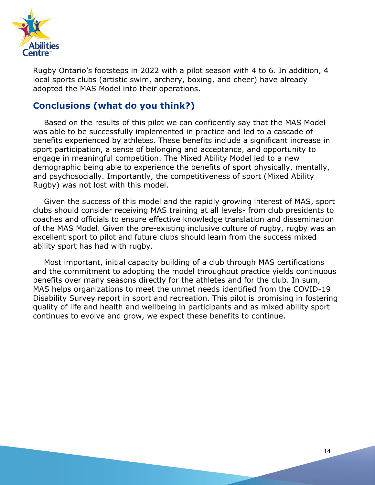

Rugby Ontario's footsteps in 2022 with a pilot season with 4 to 6. In addition, 4 local sports clubs (artistic swim, archery, boxing, and cheer) have already adopted the MAS Model into their operations.

### **Conclusions (what do you think?)**

Based on the results of this pilot we can confidently say that the MAS Model was able to be successfully implemented in practice and led to a cascade of benefits experienced by athletes. These benefits include a significant increase in sport participation, a sense of belonging and acceptance, and opportunity to engage in meaningful competition. The Mixed Ability Model led to a new demographic being able to experience the benefits of sport physically, mentally, and psychosocially. Importantly, the competitiveness of sport (Mixed Ability Rugby) was not lost with this model.

Given the success of this model and the rapidly growing interest of MAS, sport clubs should consider receiving MAS training at all levels- from club presidents to coaches and officials to ensure effective knowledge translation and dissemination of the MAS Model. Given the pre-existing inclusive culture of rugby, rugby was an excellent sport to pilot and future clubs should learn from the success mixed ability sport has had with rugby.

Most important, initial capacity building of a club through MAS certifications and the commitment to adopting the model throughout practice yields continuous benefits over many seasons directly for the athletes and for the club. In sum, MAS helps organizations to meet the unmet needs identified from the COVID-19 Disability Survey report in sport and recreation. This pilot is promising in fostering quality of life and health and wellbeing in participants and as mixed ability sport continues to evolve and grow, we expect these benefits to continue.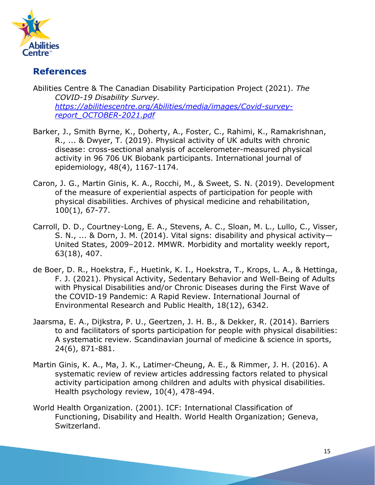

# **References**

Abilities Centre & The Canadian Disability Participation Project (2021). *The COVID-19 Disability Survey. [https://abilitiescentre.org/Abilities/media/images/Covid-survey](https://abilitiescentre.org/Abilities/media/images/Covid-survey-report_OCTOBER-2021.pdf)[report\\_OCTOBER-2021.pdf](https://abilitiescentre.org/Abilities/media/images/Covid-survey-report_OCTOBER-2021.pdf)*

- Barker, J., Smith Byrne, K., Doherty, A., Foster, C., Rahimi, K., Ramakrishnan, R., ... & Dwyer, T. (2019). Physical activity of UK adults with chronic disease: cross-sectional analysis of accelerometer-measured physical activity in 96 706 UK Biobank participants. International journal of epidemiology, 48(4), 1167-1174.
- Caron, J. G., Martin Ginis, K. A., Rocchi, M., & Sweet, S. N. (2019). Development of the measure of experiential aspects of participation for people with physical disabilities. Archives of physical medicine and rehabilitation, 100(1), 67-77.
- Carroll, D. D., Courtney-Long, E. A., Stevens, A. C., Sloan, M. L., Lullo, C., Visser, S. N., ... & Dorn, J. M. (2014). Vital signs: disability and physical activity— United States, 2009–2012. MMWR. Morbidity and mortality weekly report, 63(18), 407.
- de Boer, D. R., Hoekstra, F., Huetink, K. I., Hoekstra, T., Krops, L. A., & Hettinga, F. J. (2021). Physical Activity, Sedentary Behavior and Well-Being of Adults with Physical Disabilities and/or Chronic Diseases during the First Wave of the COVID-19 Pandemic: A Rapid Review. International Journal of Environmental Research and Public Health, 18(12), 6342.
- Jaarsma, E. A., Dijkstra, P. U., Geertzen, J. H. B., & Dekker, R. (2014). Barriers to and facilitators of sports participation for people with physical disabilities: A systematic review. Scandinavian journal of medicine & science in sports, 24(6), 871-881.
- Martin Ginis, K. A., Ma, J. K., Latimer-Cheung, A. E., & Rimmer, J. H. (2016). A systematic review of review articles addressing factors related to physical activity participation among children and adults with physical disabilities. Health psychology review, 10(4), 478-494.
- World Health Organization. (2001). ICF: International Classification of Functioning, Disability and Health. World Health Organization; Geneva, Switzerland.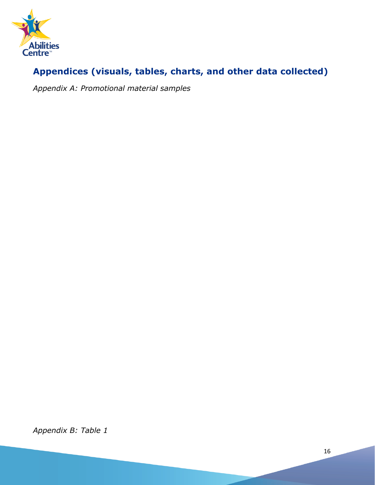

# **Appendices (visuals, tables, charts, and other data collected)**

*Appendix A: Promotional material samples*

*Appendix B: Table 1*